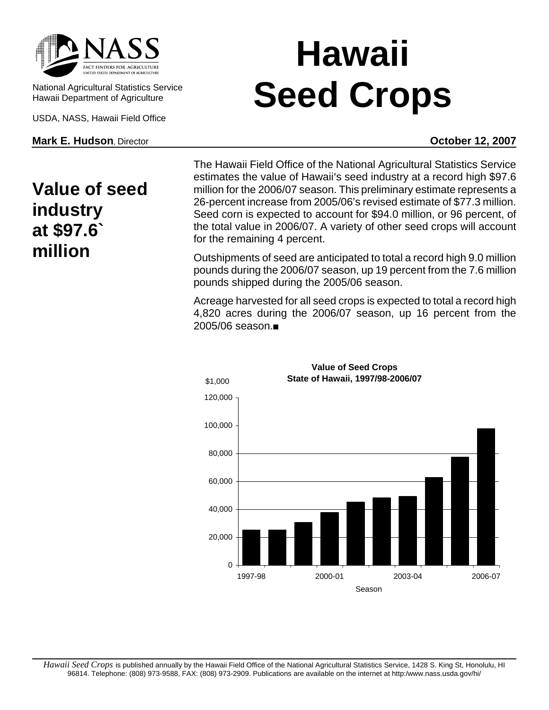

National Agricultural Statistics Service Hawaii Department of Agriculture

USDA, NASS, Hawaii Field Office

**Mark E. Hudson**, Director **Contract Contract Contract Contract Contract Contract Contract Contract Contract Contract Contract Contract Contract Contract Contract Contract Contract Contract Contract Contract Contract Contr** 

## **Value of seed industry at \$97.6` million**

## **Hawaii Seed Crops**

The Hawaii Field Office of the National Agricultural Statistics Service estimates the value of Hawaii's seed industry at a record high \$97.6 million for the 2006/07 season. This preliminary estimate represents a 26-percent increase from 2005/06's revised estimate of \$77.3 million. Seed corn is expected to account for \$94.0 million, or 96 percent, of the total value in 2006/07. A variety of other seed crops will account for the remaining 4 percent.

Outshipments of seed are anticipated to total a record high 9.0 million pounds during the 2006/07 season, up 19 percent from the 7.6 million pounds shipped during the 2005/06 season.

Acreage harvested for all seed crops is expected to total a record high 4,820 acres during the 2006/07 season, up 16 percent from the 2005/06 season.



**Value of Seed Crops**